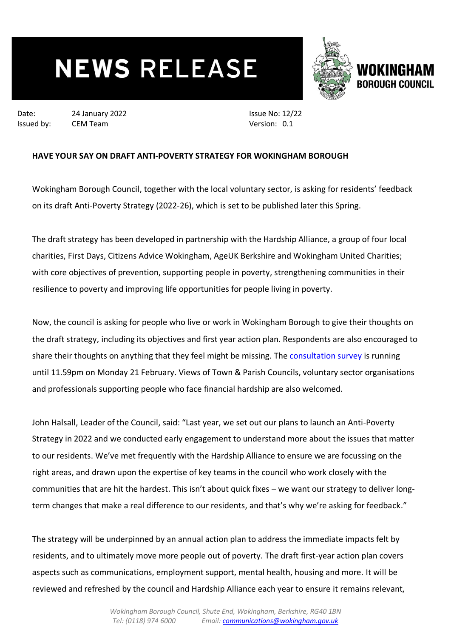## **NEWS RELEASE**



Date: 24 January 2022 Issued by: CEM Team

Issue No: 12/22 Version: 0.1

## **HAVE YOUR SAY ON DRAFT ANTI-POVERTY STRATEGY FOR WOKINGHAM BOROUGH**

Wokingham Borough Council, together with the local voluntary sector, is asking for residents' feedback on its draft Anti-Poverty Strategy (2022-26), which is set to be published later this Spring.

The draft strategy has been developed in partnership with the Hardship Alliance, a group of four local charities, First Days, Citizens Advice Wokingham, AgeUK Berkshire and Wokingham United Charities; with core objectives of prevention, supporting people in poverty, strengthening communities in their resilience to poverty and improving life opportunities for people living in poverty.

Now, the council is asking for people who live or work in Wokingham Borough to give their thoughts on the draft strategy, including its objectives and first year action plan. Respondents are also encouraged to share their thoughts on anything that they feel might be missing. The [consultation survey](https://engage.wokingham.gov.uk/en-GB/projects/tackling-hardship-supporting-our-residents) is running until 11.59pm on Monday 21 February. Views of Town & Parish Councils, voluntary sector organisations and professionals supporting people who face financial hardship are also welcomed.

John Halsall, Leader of the Council, said: "Last year, we set out our plans to launch an Anti-Poverty Strategy in 2022 and we conducted early engagement to understand more about the issues that matter to our residents. We've met frequently with the Hardship Alliance to ensure we are focussing on the right areas, and drawn upon the expertise of key teams in the council who work closely with the communities that are hit the hardest. This isn't about quick fixes – we want our strategy to deliver longterm changes that make a real difference to our residents, and that's why we're asking for feedback."

The strategy will be underpinned by an annual action plan to address the immediate impacts felt by residents, and to ultimately move more people out of poverty. The draft first-year action plan covers aspects such as communications, employment support, mental health, housing and more. It will be reviewed and refreshed by the council and Hardship Alliance each year to ensure it remains relevant,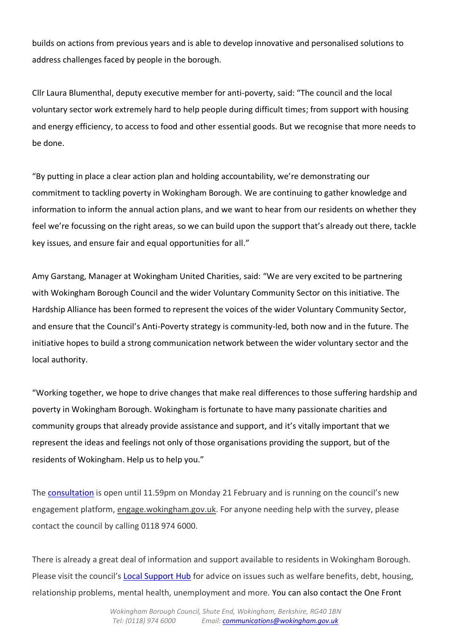builds on actions from previous years and is able to develop innovative and personalised solutions to address challenges faced by people in the borough.

Cllr Laura Blumenthal, deputy executive member for anti-poverty, said: "The council and the local voluntary sector work extremely hard to help people during difficult times; from support with housing and energy efficiency, to access to food and other essential goods. But we recognise that more needs to be done.

"By putting in place a clear action plan and holding accountability, we're demonstrating our commitment to tackling poverty in Wokingham Borough. We are continuing to gather knowledge and information to inform the annual action plans, and we want to hear from our residents on whether they feel we're focussing on the right areas, so we can build upon the support that's already out there, tackle key issues, and ensure fair and equal opportunities for all."

Amy Garstang, Manager at Wokingham United Charities, said: "We are very excited to be partnering with Wokingham Borough Council and the wider Voluntary Community Sector on this initiative. The Hardship Alliance has been formed to represent the voices of the wider Voluntary Community Sector, and ensure that the Council's Anti-Poverty strategy is community-led, both now and in the future. The initiative hopes to build a strong communication network between the wider voluntary sector and the local authority.

"Working together, we hope to drive changes that make real differences to those suffering hardship and poverty in Wokingham Borough. Wokingham is fortunate to have many passionate charities and community groups that already provide assistance and support, and it's vitally important that we represent the ideas and feelings not only of those organisations providing the support, but of the residents of Wokingham. Help us to help you."

The [consultation](https://engage.wokingham.gov.uk/en-GB/projects/tackling-hardship-supporting-our-residents) is open until 11.59pm on Monday 21 February and is running on the council's new engagement platform, [engage.wokingham.gov.uk.](file:///C:/Users/richud/AppData/Local/Microsoft/Windows/INetCache/Content.Outlook/PUDQHGS3/engage.wokingham.gov.uk) For anyone needing help with the survey, please contact the council by calling 0118 974 6000.

There is already a great deal of information and support available to residents in Wokingham Borough. Please visit the council's [Local Support Hub](http://www.wokingham.gov.uk/local-support-hub) for advice on issues such as welfare benefits, debt, housing, relationship problems, mental health, unemployment and more. You can also contact the One Front